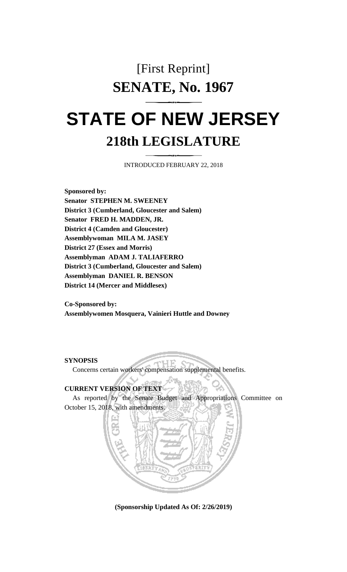## [First Reprint] **SENATE, No. 1967**

## **STATE OF NEW JERSEY 218th LEGISLATURE**

INTRODUCED FEBRUARY 22, 2018

**Sponsored by: Senator STEPHEN M. SWEENEY District 3 (Cumberland, Gloucester and Salem) Senator FRED H. MADDEN, JR. District 4 (Camden and Gloucester) Assemblywoman MILA M. JASEY District 27 (Essex and Morris) Assemblyman ADAM J. TALIAFERRO District 3 (Cumberland, Gloucester and Salem) Assemblyman DANIEL R. BENSON District 14 (Mercer and Middlesex)**

**Co-Sponsored by: Assemblywomen Mosquera, Vainieri Huttle and Downey**

## **SYNOPSIS**

Concerns certain workers' compensation supplemental benefits.

## **CURRENT VERSION OF TEXT**

As reported by the Senate Budget and Appropriations Committee on October 15, 2018, with amendments.



**(Sponsorship Updated As Of: 2/26/2019)**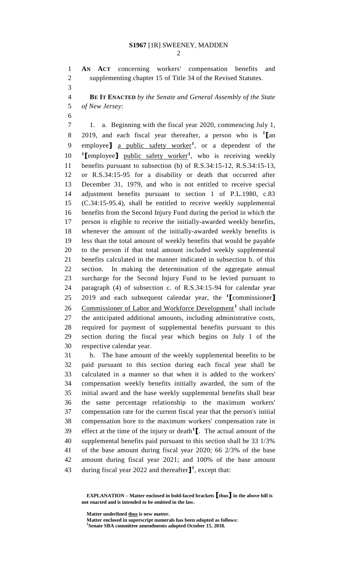**AN ACT** concerning workers' compensation benefits and supplementing chapter 15 of Title 34 of the Revised Statutes.

 **BE IT ENACTED** *by the Senate and General Assembly of the State of New Jersey:*

 1. a. Beginning with the fiscal year 2020, commencing July 1, 2019, and each fiscal year thereafter, a person who is **<sup>1</sup> [**an 9 employee<u>] a public safety worker</u><sup>1</sup>, or a dependent of the 10 <sup>1</sup>[employee] public safety worker<sup>1</sup>, who is receiving weekly benefits pursuant to subsection (b) of R.S.34:15-12, R.S.34:15-13, or R.S.34:15-95 for a disability or death that occurred after December 31, 1979, and who is not entitled to receive special adjustment benefits pursuant to section 1 of P.L.1980, c.83 (C.34:15-95.4), shall be entitled to receive weekly supplemental benefits from the Second Injury Fund during the period in which the person is eligible to receive the initially-awarded weekly benefits, whenever the amount of the initially-awarded weekly benefits is less than the total amount of weekly benefits that would be payable to the person if that total amount included weekly supplemental benefits calculated in the manner indicated in subsection b. of this section. In making the determination of the aggregate annual surcharge for the Second Injury Fund to be levied pursuant to paragraph (4) of subsection c. of R.S.34:15-94 for calendar year and each subsequent calendar year, the **<sup>1</sup> [**commissioner**]** 26 Commissioner of Labor and Workforce Development<sup>1</sup> shall include the anticipated additional amounts, including administrative costs, required for payment of supplemental benefits pursuant to this section during the fiscal year which begins on July 1 of the respective calendar year. b. The base amount of the weekly supplemental benefits to be

 paid pursuant to this section during each fiscal year shall be calculated in a manner so that when it is added to the workers' compensation weekly benefits initially awarded, the sum of the initial award and the base weekly supplemental benefits shall bear the same percentage relationship to the maximum workers' compensation rate for the current fiscal year that the person's initial compensation bore to the maximum workers' compensation rate in effect at the time of the injury or death**<sup>1</sup> [**. The actual amount of the supplemental benefits paid pursuant to this section shall be 33 1/3% of the base amount during fiscal year 2020; 66 2/3% of the base amount during fiscal year 2021; and 100% of the base amount 43 during fiscal year 2022 and thereafter $\mathbf{I}^1$ , except that:

**Matter underlined thus is new matter.**

**Matter enclosed in superscript numerals has been adopted as follows: 1 Senate SBA committee amendments adopted October 15, 2018.**

**EXPLANATION – Matter enclosed in bold-faced brackets [thus] in the above bill is not enacted and is intended to be omitted in the law.**